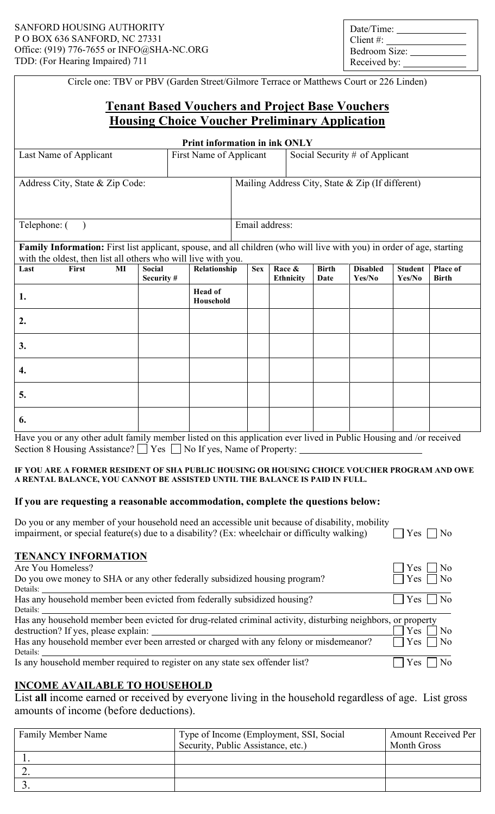| Date/Time:    |  |
|---------------|--|
| Client #:     |  |
| Bedroom Size: |  |
| Received by:  |  |

|                                                        |            |                                                                               |                      |                                      |                                                       | Circle one: TBV or PBV (Garden Street/Gilmore Terrace or Matthews Court or 226 Linden)                                                                                                                                                                                                                                            |  |  |  |  |
|--------------------------------------------------------|------------|-------------------------------------------------------------------------------|----------------------|--------------------------------------|-------------------------------------------------------|-----------------------------------------------------------------------------------------------------------------------------------------------------------------------------------------------------------------------------------------------------------------------------------------------------------------------------------|--|--|--|--|
| <b>Tenant Based Vouchers and Project Base Vouchers</b> |            |                                                                               |                      |                                      |                                                       |                                                                                                                                                                                                                                                                                                                                   |  |  |  |  |
|                                                        |            |                                                                               |                      |                                      |                                                       |                                                                                                                                                                                                                                                                                                                                   |  |  |  |  |
|                                                        |            |                                                                               |                      |                                      |                                                       |                                                                                                                                                                                                                                                                                                                                   |  |  |  |  |
| First Name of Applicant                                |            |                                                                               |                      |                                      |                                                       |                                                                                                                                                                                                                                                                                                                                   |  |  |  |  |
|                                                        |            |                                                                               |                      |                                      |                                                       |                                                                                                                                                                                                                                                                                                                                   |  |  |  |  |
|                                                        |            |                                                                               |                      |                                      |                                                       |                                                                                                                                                                                                                                                                                                                                   |  |  |  |  |
|                                                        |            |                                                                               |                      |                                      |                                                       |                                                                                                                                                                                                                                                                                                                                   |  |  |  |  |
|                                                        |            |                                                                               |                      |                                      |                                                       |                                                                                                                                                                                                                                                                                                                                   |  |  |  |  |
| Security #                                             | <b>Sex</b> | Race &<br><b>Ethnicity</b>                                                    | <b>Birth</b><br>Date | <b>Disabled</b><br>Yes/No            | <b>Student</b><br>Yes/No                              | Place of<br><b>Birth</b>                                                                                                                                                                                                                                                                                                          |  |  |  |  |
| <b>Head of</b><br>Household                            |            |                                                                               |                      |                                      |                                                       |                                                                                                                                                                                                                                                                                                                                   |  |  |  |  |
|                                                        |            |                                                                               |                      |                                      |                                                       |                                                                                                                                                                                                                                                                                                                                   |  |  |  |  |
|                                                        |            |                                                                               |                      |                                      |                                                       |                                                                                                                                                                                                                                                                                                                                   |  |  |  |  |
|                                                        |            |                                                                               |                      |                                      |                                                       |                                                                                                                                                                                                                                                                                                                                   |  |  |  |  |
|                                                        |            |                                                                               |                      |                                      |                                                       |                                                                                                                                                                                                                                                                                                                                   |  |  |  |  |
|                                                        |            |                                                                               |                      |                                      |                                                       |                                                                                                                                                                                                                                                                                                                                   |  |  |  |  |
|                                                        |            | with the oldest, then list all others who will live with you.<br>Relationship | Email address:       | <b>Print information in ink ONLY</b> | <b>Housing Choice Voucher Preliminary Application</b> | Social Security # of Applicant<br>Mailing Address City, State & Zip (If different)<br>Family Information: First list applicant, spouse, and all children (who will live with you) in order of age, starting<br>Have you or any other adult family member listed on this application ever lived in Public Housing and /or received |  |  |  |  |

Have you or any other adult family member listed on this application ever lived in Public Housing and /or received Section 8 Housing Assistance?  $\Box$  Yes  $\Box$  No If yes, Name of Property:

#### **IF YOU ARE A FORMER RESIDENT OF SHA PUBLIC HOUSING OR HOUSING CHOICE VOUCHER PROGRAM AND OWE A RENTAL BALANCE, YOU CANNOT BE ASSISTED UNTIL THE BALANCE IS PAID IN FULL.**

# **If you are requesting a reasonable accommodation, complete the questions below:**

| Do you or any member of your household need an accessible unit because of disability, mobility                     |  |
|--------------------------------------------------------------------------------------------------------------------|--|
| impairment, or special feature(s) due to a disability? (Ex: wheelchair or difficulty walking) $\Box$ Yes $\Box$ No |  |

## **TENANCY INFORMATION**

| Are You Homeless?                                                                                           | $ $ Yes $ $<br>$\Box$ No |
|-------------------------------------------------------------------------------------------------------------|--------------------------|
| Do you owe money to SHA or any other federally subsidized housing program?                                  | $ $ Yes<br>$\Box$ No     |
| Details:                                                                                                    |                          |
| Has any household member been evicted from federally subsidized housing?                                    | $\vert$ Yes $\vert$ No   |
| Details:                                                                                                    |                          |
| Has any household member been evicted for drug-related criminal activity, disturbing neighbors, or property |                          |
| destruction? If yes, please explain:                                                                        | $\gamma$ es $\Box$ No    |
| Has any household member ever been arrested or charged with any felony or misdemeanor?                      | $\Box$ Yes<br>$\Box$ No  |
| Details:                                                                                                    |                          |
| Is any household member required to register on any state sex offender list?                                | Yes                      |

## **INCOME AVAILABLE TO HOUSEHOLD**

List **all** income earned or received by everyone living in the household regardless of age. List gross amounts of income (before deductions).

| Family Member Name | Type of Income (Employment, SSI, Social<br>Security, Public Assistance, etc.) | <b>Amount Received Per</b><br><b>Month Gross</b> |
|--------------------|-------------------------------------------------------------------------------|--------------------------------------------------|
|                    |                                                                               |                                                  |
|                    |                                                                               |                                                  |
|                    |                                                                               |                                                  |